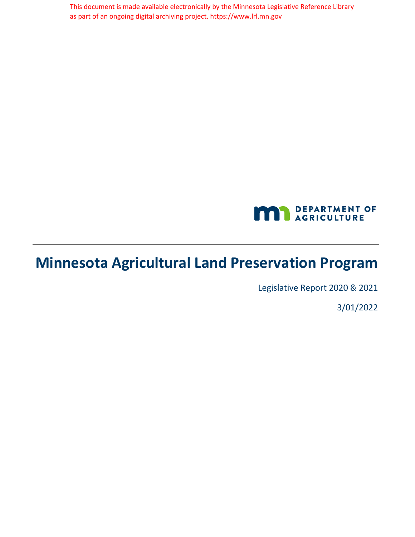This document is made available electronically by the Minnesota Legislative Reference Library as part of an ongoing digital archiving project. https://www.lrl.mn.gov



# **Minnesota Agricultural Land Preservation Program**

Legislative Report 2020 & 2021

3/01/2022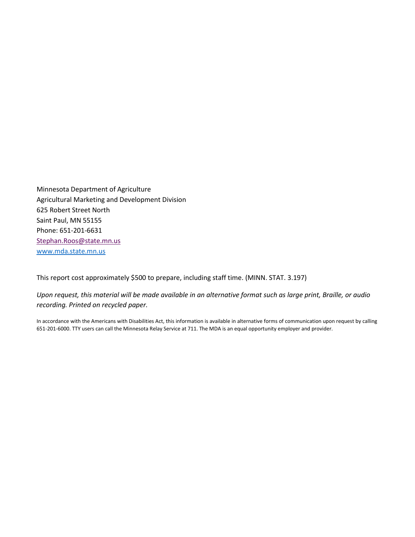Minnesota Department of Agriculture Agricultural Marketing and Development Division 625 Robert Street North Saint Paul, MN 55155 Phone: 651-201-6631 [Stephan.Roos@state.mn.us](mailto:Stephan.Roos@state.mn.us) [www.mda.state.mn.us](http://www.mda.state.mn.us/)

This report cost approximately \$500 to prepare, including staff time. (MINN. STAT. 3.197)

*Upon request, this material will be made available in an alternative format such as large print, Braille, or audio recording. Printed on recycled paper.*

In accordance with the Americans with Disabilities Act, this information is available in alternative forms of communication upon request by calling 651-201-6000. TTY users can call the Minnesota Relay Service at 711. The MDA is an equal opportunity employer and provider.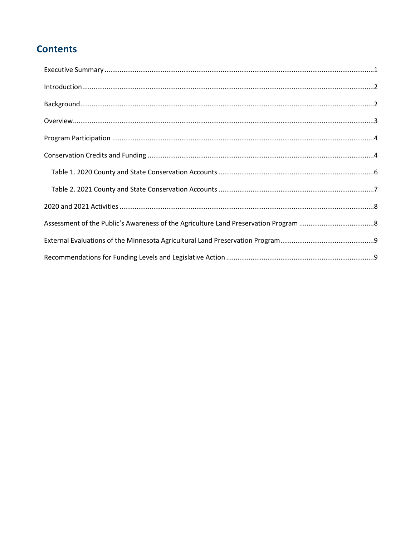### **Contents**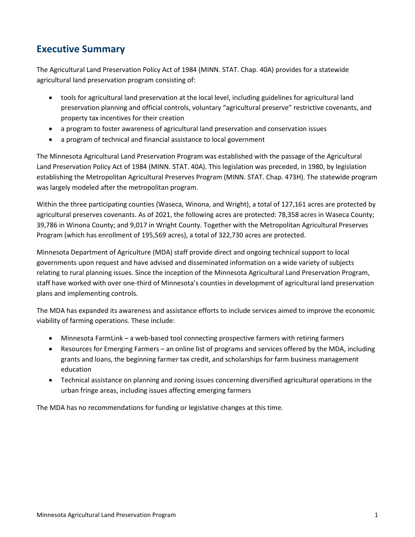#### <span id="page-3-0"></span>**Executive Summary**

The Agricultural Land Preservation Policy Act of 1984 (MINN. STAT. Chap. 40A) provides for a statewide agricultural land preservation program consisting of:

- tools for agricultural land preservation at the local level, including guidelines for agricultural land preservation planning and official controls, voluntary "agricultural preserve" restrictive covenants, and property tax incentives for their creation
- a program to foster awareness of agricultural land preservation and conservation issues
- a program of technical and financial assistance to local government

The Minnesota Agricultural Land Preservation Program was established with the passage of the Agricultural Land Preservation Policy Act of 1984 (MINN. STAT. 40A). This legislation was preceded, in 1980, by legislation establishing the Metropolitan Agricultural Preserves Program (MINN. STAT. Chap. 473H). The statewide program was largely modeled after the metropolitan program.

Within the three participating counties (Waseca, Winona, and Wright), a total of 127,161 acres are protected by agricultural preserves covenants. As of 2021, the following acres are protected: 78,358 acres in Waseca County; 39,786 in Winona County; and 9,017 in Wright County. Together with the Metropolitan Agricultural Preserves Program (which has enrollment of 195,569 acres), a total of 322,730 acres are protected.

Minnesota Department of Agriculture (MDA) staff provide direct and ongoing technical support to local governments upon request and have advised and disseminated information on a wide variety of subjects relating to rural planning issues. Since the inception of the Minnesota Agricultural Land Preservation Program, staff have worked with over one-third of Minnesota's counties in development of agricultural land preservation plans and implementing controls.

The MDA has expanded its awareness and assistance efforts to include services aimed to improve the economic viability of farming operations. These include:

- Minnesota FarmLink a web-based tool connecting prospective farmers with retiring farmers
- Resources for Emerging Farmers an online list of programs and services offered by the MDA, including grants and loans, the beginning farmer tax credit, and scholarships for farm business management education
- Technical assistance on planning and zoning issues concerning diversified agricultural operations in the urban fringe areas, including issues affecting emerging farmers

The MDA has no recommendations for funding or legislative changes at this time.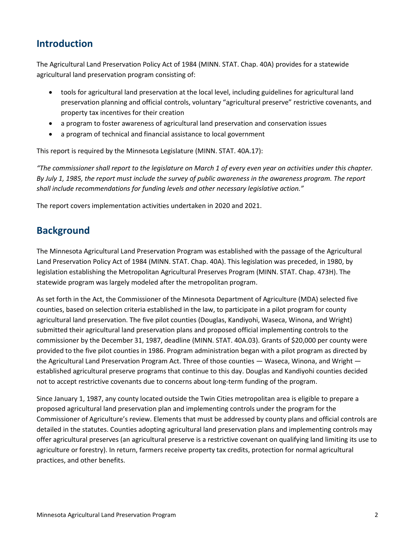#### <span id="page-4-0"></span>**Introduction**

The Agricultural Land Preservation Policy Act of 1984 (MINN. STAT. Chap. 40A) provides for a statewide agricultural land preservation program consisting of:

- tools for agricultural land preservation at the local level, including guidelines for agricultural land preservation planning and official controls, voluntary "agricultural preserve" restrictive covenants, and property tax incentives for their creation
- a program to foster awareness of agricultural land preservation and conservation issues
- a program of technical and financial assistance to local government

This report is required by the Minnesota Legislature (MINN. STAT. 40A.17):

*"The commissioner shall report to the legislature on March 1 of every even year on activities under this chapter. By July 1, 1985, the report must include the survey of public awareness in the awareness program. The report shall include recommendations for funding levels and other necessary legislative action."*

The report covers implementation activities undertaken in 2020 and 2021.

#### <span id="page-4-1"></span>**Background**

The Minnesota Agricultural Land Preservation Program was established with the passage of the Agricultural Land Preservation Policy Act of 1984 (MINN. STAT. Chap. 40A). This legislation was preceded, in 1980, by legislation establishing the Metropolitan Agricultural Preserves Program (MINN. STAT. Chap. 473H). The statewide program was largely modeled after the metropolitan program.

As set forth in the Act, the Commissioner of the Minnesota Department of Agriculture (MDA) selected five counties, based on selection criteria established in the law, to participate in a pilot program for county agricultural land preservation. The five pilot counties (Douglas, Kandiyohi, Waseca, Winona, and Wright) submitted their agricultural land preservation plans and proposed official implementing controls to the commissioner by the December 31, 1987, deadline (MINN. STAT. 40A.03). Grants of \$20,000 per county were provided to the five pilot counties in 1986. Program administration began with a pilot program as directed by the Agricultural Land Preservation Program Act. Three of those counties — Waseca, Winona, and Wright established agricultural preserve programs that continue to this day. Douglas and Kandiyohi counties decided not to accept restrictive covenants due to concerns about long-term funding of the program.

Since January 1, 1987, any county located outside the Twin Cities metropolitan area is eligible to prepare a proposed agricultural land preservation plan and implementing controls under the program for the Commissioner of Agriculture's review. Elements that must be addressed by county plans and official controls are detailed in the statutes. Counties adopting agricultural land preservation plans and implementing controls may offer agricultural preserves (an agricultural preserve is a restrictive covenant on qualifying land limiting its use to agriculture or forestry). In return, farmers receive property tax credits, protection for normal agricultural practices, and other benefits.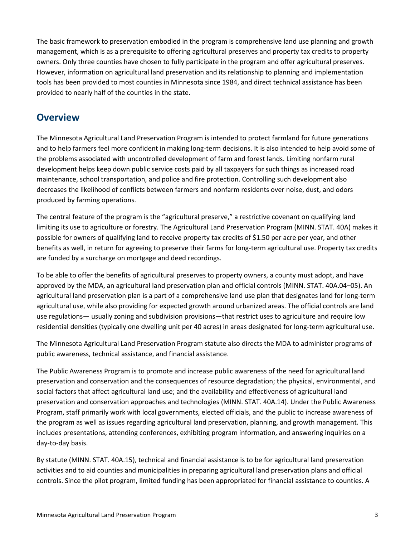The basic framework to preservation embodied in the program is comprehensive land use planning and growth management, which is as a prerequisite to offering agricultural preserves and property tax credits to property owners. Only three counties have chosen to fully participate in the program and offer agricultural preserves. However, information on agricultural land preservation and its relationship to planning and implementation tools has been provided to most counties in Minnesota since 1984, and direct technical assistance has been provided to nearly half of the counties in the state.

#### <span id="page-5-0"></span>**Overview**

The Minnesota Agricultural Land Preservation Program is intended to protect farmland for future generations and to help farmers feel more confident in making long-term decisions. It is also intended to help avoid some of the problems associated with uncontrolled development of farm and forest lands. Limiting nonfarm rural development helps keep down public service costs paid by all taxpayers for such things as increased road maintenance, school transportation, and police and fire protection. Controlling such development also decreases the likelihood of conflicts between farmers and nonfarm residents over noise, dust, and odors produced by farming operations.

The central feature of the program is the "agricultural preserve," a restrictive covenant on qualifying land limiting its use to agriculture or forestry. The Agricultural Land Preservation Program (MINN. STAT. 40A) makes it possible for owners of qualifying land to receive property tax credits of \$1.50 per acre per year, and other benefits as well, in return for agreeing to preserve their farms for long-term agricultural use. Property tax credits are funded by a surcharge on mortgage and deed recordings.

To be able to offer the benefits of agricultural preserves to property owners, a county must adopt, and have approved by the MDA, an agricultural land preservation plan and official controls (MINN. STAT. 40A.04–05). An agricultural land preservation plan is a part of a comprehensive land use plan that designates land for long-term agricultural use, while also providing for expected growth around urbanized areas. The official controls are land use regulations— usually zoning and subdivision provisions—that restrict uses to agriculture and require low residential densities (typically one dwelling unit per 40 acres) in areas designated for long-term agricultural use.

The Minnesota Agricultural Land Preservation Program statute also directs the MDA to administer programs of public awareness, technical assistance, and financial assistance.

The Public Awareness Program is to promote and increase public awareness of the need for agricultural land preservation and conservation and the consequences of resource degradation; the physical, environmental, and social factors that affect agricultural land use; and the availability and effectiveness of agricultural land preservation and conservation approaches and technologies (MINN. STAT. 40A.14). Under the Public Awareness Program, staff primarily work with local governments, elected officials, and the public to increase awareness of the program as well as issues regarding agricultural land preservation, planning, and growth management. This includes presentations, attending conferences, exhibiting program information, and answering inquiries on a day-to-day basis.

By statute (MINN. STAT. 40A.15), technical and financial assistance is to be for agricultural land preservation activities and to aid counties and municipalities in preparing agricultural land preservation plans and official controls. Since the pilot program, limited funding has been appropriated for financial assistance to counties. A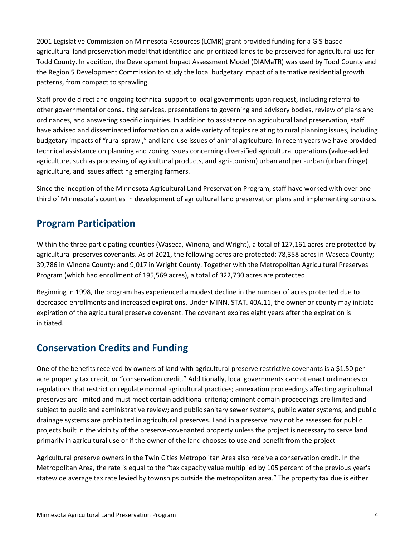2001 Legislative Commission on Minnesota Resources (LCMR) grant provided funding for a GIS-based agricultural land preservation model that identified and prioritized lands to be preserved for agricultural use for Todd County. In addition, the Development Impact Assessment Model (DIAMaTR) was used by Todd County and the Region 5 Development Commission to study the local budgetary impact of alternative residential growth patterns, from compact to sprawling.

Staff provide direct and ongoing technical support to local governments upon request, including referral to other governmental or consulting services, presentations to governing and advisory bodies, review of plans and ordinances, and answering specific inquiries. In addition to assistance on agricultural land preservation, staff have advised and disseminated information on a wide variety of topics relating to rural planning issues, including budgetary impacts of "rural sprawl," and land-use issues of animal agriculture. In recent years we have provided technical assistance on planning and zoning issues concerning diversified agricultural operations (value-added agriculture, such as processing of agricultural products, and agri-tourism) urban and peri-urban (urban fringe) agriculture, and issues affecting emerging farmers.

Since the inception of the Minnesota Agricultural Land Preservation Program, staff have worked with over onethird of Minnesota's counties in development of agricultural land preservation plans and implementing controls.

### <span id="page-6-0"></span>**Program Participation**

Within the three participating counties (Waseca, Winona, and Wright), a total of 127,161 acres are protected by agricultural preserves covenants. As of 2021, the following acres are protected: 78,358 acres in Waseca County; 39,786 in Winona County; and 9,017 in Wright County. Together with the Metropolitan Agricultural Preserves Program (which had enrollment of 195,569 acres), a total of 322,730 acres are protected.

Beginning in 1998, the program has experienced a modest decline in the number of acres protected due to decreased enrollments and increased expirations. Under MINN. STAT. 40A.11, the owner or county may initiate expiration of the agricultural preserve covenant. The covenant expires eight years after the expiration is initiated.

#### <span id="page-6-1"></span>**Conservation Credits and Funding**

One of the benefits received by owners of land with agricultural preserve restrictive covenants is a \$1.50 per acre property tax credit, or "conservation credit." Additionally, local governments cannot enact ordinances or regulations that restrict or regulate normal agricultural practices; annexation proceedings affecting agricultural preserves are limited and must meet certain additional criteria; eminent domain proceedings are limited and subject to public and administrative review; and public sanitary sewer systems, public water systems, and public drainage systems are prohibited in agricultural preserves. Land in a preserve may not be assessed for public projects built in the vicinity of the preserve-covenanted property unless the project is necessary to serve land primarily in agricultural use or if the owner of the land chooses to use and benefit from the project

Agricultural preserve owners in the Twin Cities Metropolitan Area also receive a conservation credit. In the Metropolitan Area, the rate is equal to the "tax capacity value multiplied by 105 percent of the previous year's statewide average tax rate levied by townships outside the metropolitan area." The property tax due is either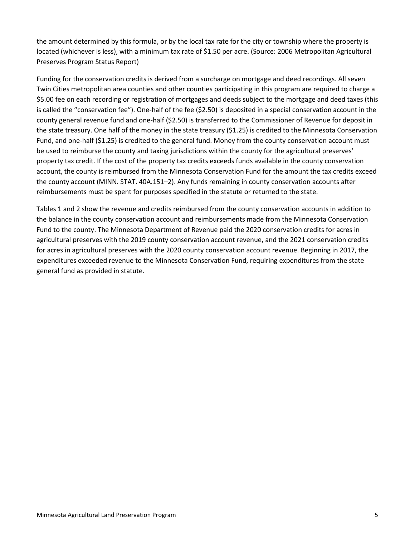the amount determined by this formula, or by the local tax rate for the city or township where the property is located (whichever is less), with a minimum tax rate of \$1.50 per acre. (Source: 2006 Metropolitan Agricultural Preserves Program Status Report)

Funding for the conservation credits is derived from a surcharge on mortgage and deed recordings. All seven Twin Cities metropolitan area counties and other counties participating in this program are required to charge a \$5.00 fee on each recording or registration of mortgages and deeds subject to the mortgage and deed taxes (this is called the "conservation fee"). One-half of the fee (\$2.50) is deposited in a special conservation account in the county general revenue fund and one-half (\$2.50) is transferred to the Commissioner of Revenue for deposit in the state treasury. One half of the money in the state treasury (\$1.25) is credited to the Minnesota Conservation Fund, and one-half (\$1.25) is credited to the general fund. Money from the county conservation account must be used to reimburse the county and taxing jurisdictions within the county for the agricultural preserves' property tax credit. If the cost of the property tax credits exceeds funds available in the county conservation account, the county is reimbursed from the Minnesota Conservation Fund for the amount the tax credits exceed the county account (MINN. STAT. 40A.151–2). Any funds remaining in county conservation accounts after reimbursements must be spent for purposes specified in the statute or returned to the state.

Tables 1 and 2 show the revenue and credits reimbursed from the county conservation accounts in addition to the balance in the county conservation account and reimbursements made from the Minnesota Conservation Fund to the county. The Minnesota Department of Revenue paid the 2020 conservation credits for acres in agricultural preserves with the 2019 county conservation account revenue, and the 2021 conservation credits for acres in agricultural preserves with the 2020 county conservation account revenue. Beginning in 2017, the expenditures exceeded revenue to the Minnesota Conservation Fund, requiring expenditures from the state general fund as provided in statute.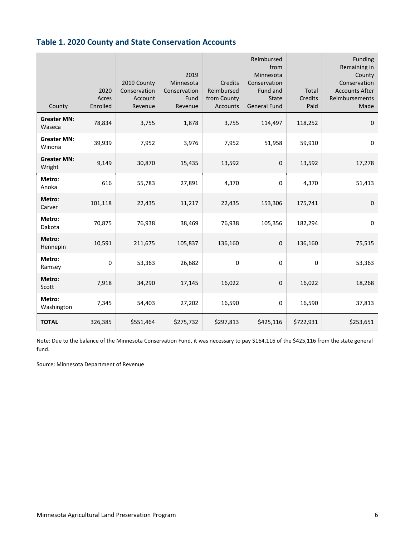#### <span id="page-8-0"></span>**Table 1. 2020 County and State Conservation Accounts**

| County                       | 2020<br>Acres<br>Enrolled | 2019 County<br>Conservation<br>Account<br>Revenue | 2019<br>Minnesota<br>Conservation<br>Fund<br>Revenue | Credits<br>Reimbursed<br>from County<br><b>Accounts</b> | Reimbursed<br>from<br>Minnesota<br>Conservation<br>Fund and<br><b>State</b><br><b>General Fund</b> | Total<br>Credits<br>Paid | Funding<br>Remaining in<br>County<br>Conservation<br><b>Accounts After</b><br>Reimbursements<br>Made |
|------------------------------|---------------------------|---------------------------------------------------|------------------------------------------------------|---------------------------------------------------------|----------------------------------------------------------------------------------------------------|--------------------------|------------------------------------------------------------------------------------------------------|
| <b>Greater MN:</b><br>Waseca | 78,834                    | 3,755                                             | 1,878                                                | 3,755                                                   | 114,497                                                                                            | 118,252                  | $\mathbf 0$                                                                                          |
| <b>Greater MN:</b><br>Winona | 39,939                    | 7,952                                             | 3,976                                                | 7,952                                                   | 51,958                                                                                             | 59,910                   | 0                                                                                                    |
| <b>Greater MN:</b><br>Wright | 9,149                     | 30,870                                            | 15,435                                               | 13,592                                                  | 0                                                                                                  | 13,592                   | 17,278                                                                                               |
| Metro:<br>Anoka              | 616                       | 55,783                                            | 27,891                                               | 4,370                                                   | 0                                                                                                  | 4,370                    | 51,413                                                                                               |
| Metro:<br>Carver             | 101,118                   | 22,435                                            | 11,217                                               | 22,435                                                  | 153,306                                                                                            | 175,741                  | $\mathbf 0$                                                                                          |
| Metro:<br>Dakota             | 70,875                    | 76,938                                            | 38,469                                               | 76,938                                                  | 105,356                                                                                            | 182,294                  | $\pmb{0}$                                                                                            |
| Metro:<br>Hennepin           | 10,591                    | 211,675                                           | 105,837                                              | 136,160                                                 | 0                                                                                                  | 136,160                  | 75,515                                                                                               |
| Metro:<br>Ramsey             | 0                         | 53,363                                            | 26,682                                               | 0                                                       | 0                                                                                                  | $\Omega$                 | 53,363                                                                                               |
| Metro:<br>Scott              | 7,918                     | 34,290                                            | 17,145                                               | 16,022                                                  | 0                                                                                                  | 16,022                   | 18,268                                                                                               |
| Metro:<br>Washington         | 7,345                     | 54,403                                            | 27,202                                               | 16,590                                                  | 0                                                                                                  | 16,590                   | 37,813                                                                                               |
| <b>TOTAL</b>                 | 326,385                   | \$551,464                                         | \$275,732                                            | \$297,813                                               | \$425,116                                                                                          | \$722,931                | \$253,651                                                                                            |

Note: Due to the balance of the Minnesota Conservation Fund, it was necessary to pay \$164,116 of the \$425,116 from the state general fund.

Source: Minnesota Department of Revenue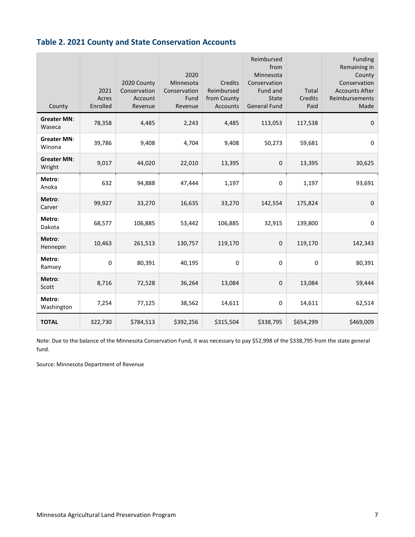#### <span id="page-9-0"></span>**Table 2. 2021 County and State Conservation Accounts**

| County                       | 2021<br>Acres<br>Enrolled | 2020 County<br>Conservation<br>Account<br>Revenue | 2020<br>Minnesota<br>Conservation<br>Fund<br>Revenue | Credits<br>Reimbursed<br>from County<br><b>Accounts</b> | Reimbursed<br>from<br>Minnesota<br>Conservation<br>Fund and<br><b>State</b><br><b>General Fund</b> | Total<br><b>Credits</b><br>Paid | Funding<br>Remaining in<br>County<br>Conservation<br><b>Accounts After</b><br>Reimbursements<br>Made |
|------------------------------|---------------------------|---------------------------------------------------|------------------------------------------------------|---------------------------------------------------------|----------------------------------------------------------------------------------------------------|---------------------------------|------------------------------------------------------------------------------------------------------|
| <b>Greater MN:</b><br>Waseca | 78,358                    | 4,485                                             | 2,243                                                | 4,485                                                   | 113,053                                                                                            | 117,538                         | $\mathbf 0$                                                                                          |
| <b>Greater MN:</b><br>Winona | 39,786                    | 9,408                                             | 4,704                                                | 9,408                                                   | 50,273                                                                                             | 59,681                          | $\mathsf 0$                                                                                          |
| <b>Greater MN:</b><br>Wright | 9,017                     | 44,020                                            | 22,010                                               | 13,395                                                  | 0                                                                                                  | 13,395                          | 30,625                                                                                               |
| Metro:<br>Anoka              | 632                       | 94,888                                            | 47,444                                               | 1,197                                                   | 0                                                                                                  | 1,197                           | 93,691                                                                                               |
| Metro:<br>Carver             | 99,927                    | 33,270                                            | 16,635                                               | 33,270                                                  | 142,554                                                                                            | 175,824                         | $\mathbf 0$                                                                                          |
| Metro:<br>Dakota             | 68,577                    | 106,885                                           | 53,442                                               | 106,885                                                 | 32,915                                                                                             | 139,800                         | 0                                                                                                    |
| Metro:<br>Hennepin           | 10,463                    | 261,513                                           | 130,757                                              | 119,170                                                 | 0                                                                                                  | 119,170                         | 142,343                                                                                              |
| Metro:<br>Ramsey             | 0                         | 80,391                                            | 40,195                                               | 0                                                       | 0                                                                                                  | 0                               | 80,391                                                                                               |
| Metro:<br>Scott              | 8,716                     | 72,528                                            | 36,264                                               | 13,084                                                  | 0                                                                                                  | 13,084                          | 59,444                                                                                               |
| Metro:<br>Washington         | 7,254                     | 77,125                                            | 38,562                                               | 14,611                                                  | 0                                                                                                  | 14,611                          | 62,514                                                                                               |
| <b>TOTAL</b>                 | 322,730                   | \$784,513                                         | \$392,256                                            | \$315,504                                               | \$338,795                                                                                          | \$654,299                       | \$469,009                                                                                            |

Note: Due to the balance of the Minnesota Conservation Fund, it was necessary to pay \$52,998 of the \$338,795 from the state general fund.

Source: Minnesota Department of Revenue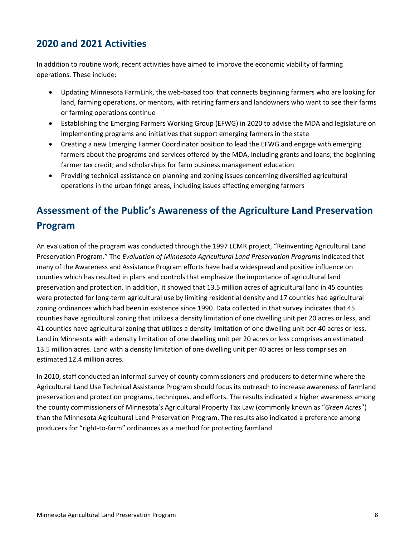#### <span id="page-10-0"></span>**2020 and 2021 Activities**

In addition to routine work, recent activities have aimed to improve the economic viability of farming operations. These include:

- Updating Minnesota FarmLink, the web-based tool that connects beginning farmers who are looking for land, farming operations, or mentors, with retiring farmers and landowners who want to see their farms or farming operations continue
- Establishing the Emerging Farmers Working Group (EFWG) in 2020 to advise the MDA and legislature on implementing programs and initiatives that support emerging farmers in the state
- Creating a new Emerging Farmer Coordinator position to lead the EFWG and engage with emerging farmers about the programs and services offered by the MDA, including grants and loans; the beginning farmer tax credit; and scholarships for farm business management education
- Providing technical assistance on planning and zoning issues concerning diversified agricultural operations in the urban fringe areas, including issues affecting emerging farmers

## <span id="page-10-1"></span>**Assessment of the Public's Awareness of the Agriculture Land Preservation Program**

An evaluation of the program was conducted through the 1997 LCMR project, "Reinventing Agricultural Land Preservation Program." The *Evaluation of Minnesota Agricultural Land Preservation Programs* indicated that many of the Awareness and Assistance Program efforts have had a widespread and positive influence on counties which has resulted in plans and controls that emphasize the importance of agricultural land preservation and protection. In addition, it showed that 13.5 million acres of agricultural land in 45 counties were protected for long-term agricultural use by limiting residential density and 17 counties had agricultural zoning ordinances which had been in existence since 1990. Data collected in that survey indicates that 45 counties have agricultural zoning that utilizes a density limitation of one dwelling unit per 20 acres or less, and 41 counties have agricultural zoning that utilizes a density limitation of one dwelling unit per 40 acres or less. Land in Minnesota with a density limitation of one dwelling unit per 20 acres or less comprises an estimated 13.5 million acres. Land with a density limitation of one dwelling unit per 40 acres or less comprises an estimated 12.4 million acres.

In 2010, staff conducted an informal survey of county commissioners and producers to determine where the Agricultural Land Use Technical Assistance Program should focus its outreach to increase awareness of farmland preservation and protection programs, techniques, and efforts. The results indicated a higher awareness among the county commissioners of Minnesota's Agricultural Property Tax Law (commonly known as "*Green Acres*") than the Minnesota Agricultural Land Preservation Program. The results also indicated a preference among producers for "right-to-farm" ordinances as a method for protecting farmland.